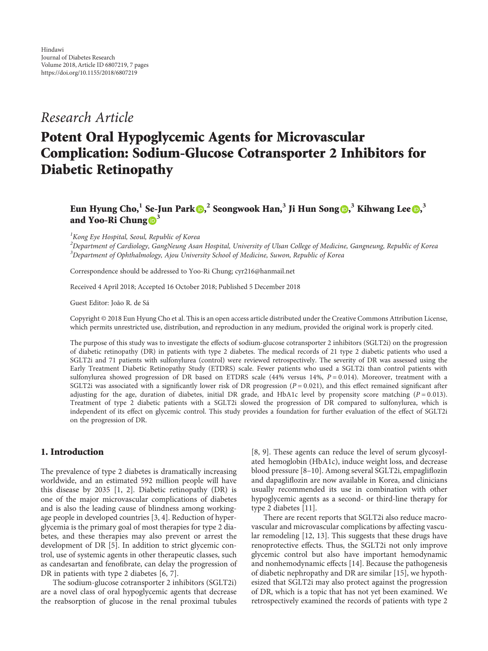# Research Article

# Potent Oral Hypoglycemic Agents for Microvascular Complication: Sodium-Glucose Cotransporter 2 Inhibitors for Diabetic Retinopathy

# Eun Hyung Cho[,](http://orcid.org/0000-0003-0478-8758) $^1$  Se-Jun Park  $\textcircled{\textsf{P}}_i^2$  Seongwook Han, $^3$  Ji Hun Song  $\textcircled{\textsf{P}}_i^3$  Kihwang Lee  $\textcircled{\textsf{P}}_i^3$ and Yoo-Ri Chung  $\mathbf{D}^3$

<sup>1</sup> Kong Eye Hospital, Seoul, Republic of Korea

<sup>2</sup>Department of Cardiology, GangNeung Asan Hospital, University of Ulsan College of Medicine, Gangneung, Republic of Korea  $^3$ Department of Ophthalmology, Ajou University School of Medicine, Suwon, Republic of Korea

Correspondence should be addressed to Yoo-Ri Chung; cyr216@hanmail.net

Received 4 April 2018; Accepted 16 October 2018; Published 5 December 2018

Guest Editor: João R. de Sá

Copyright © 2018 Eun Hyung Cho et al. This is an open access article distributed under the [Creative Commons Attribution License](https://creativecommons.org/licenses/by/4.0/), which permits unrestricted use, distribution, and reproduction in any medium, provided the original work is properly cited.

The purpose of this study was to investigate the effects of sodium-glucose cotransporter 2 inhibitors (SGLT2i) on the progression of diabetic retinopathy (DR) in patients with type 2 diabetes. The medical records of 21 type 2 diabetic patients who used a SGLT2i and 71 patients with sulfonylurea (control) were reviewed retrospectively. The severity of DR was assessed using the Early Treatment Diabetic Retinopathy Study (ETDRS) scale. Fewer patients who used a SGLT2i than control patients with sulfonylurea showed progression of DR based on ETDRS scale (44% versus 14%,  $P = 0.014$ ). Moreover, treatment with a SGLT2i was associated with a significantly lower risk of DR progression  $(P = 0.021)$ , and this effect remained significant after adjusting for the age, duration of diabetes, initial DR grade, and HbA1c level by propensity score matching  $(P = 0.013)$ . Treatment of type 2 diabetic patients with a SGLT2i slowed the progression of DR compared to sulfonylurea, which is independent of its effect on glycemic control. This study provides a foundation for further evaluation of the effect of SGLT2i on the progression of DR.

#### 1. Introduction

The prevalence of type 2 diabetes is dramatically increasing worldwide, and an estimated 592 million people will have this disease by 2035 [[1](#page-5-0), [2](#page-5-0)]. Diabetic retinopathy (DR) is one of the major microvascular complications of diabetes and is also the leading cause of blindness among workingage people in developed countries [\[3](#page-5-0), [4](#page-5-0)]. Reduction of hyperglycemia is the primary goal of most therapies for type 2 diabetes, and these therapies may also prevent or arrest the development of DR [[5](#page-5-0)]. In addition to strict glycemic control, use of systemic agents in other therapeutic classes, such as candesartan and fenofibrate, can delay the progression of DR in patients with type 2 diabetes [\[6, 7\]](#page-5-0).

The sodium-glucose cotransporter 2 inhibitors (SGLT2i) are a novel class of oral hypoglycemic agents that decrease the reabsorption of glucose in the renal proximal tubules [\[8](#page-5-0), [9](#page-5-0)]. These agents can reduce the level of serum glycosylated hemoglobin (HbA1c), induce weight loss, and decrease blood pressure [[8](#page-5-0)–[10](#page-5-0)]. Among several SGLT2i, empagliflozin and dapagliflozin are now available in Korea, and clinicians usually recommended its use in combination with other hypoglycemic agents as a second- or third-line therapy for type 2 diabetes [[11](#page-5-0)].

There are recent reports that SGLT2i also reduce macrovascular and microvascular complications by affecting vascular remodeling [[12](#page-5-0), [13\]](#page-5-0). This suggests that these drugs have renoprotective effects. Thus, the SGLT2i not only improve glycemic control but also have important hemodynamic and nonhemodynamic effects [\[14\]](#page-5-0). Because the pathogenesis of diabetic nephropathy and DR are similar [\[15\]](#page-5-0), we hypothesized that SGLT2i may also protect against the progression of DR, which is a topic that has not yet been examined. We retrospectively examined the records of patients with type 2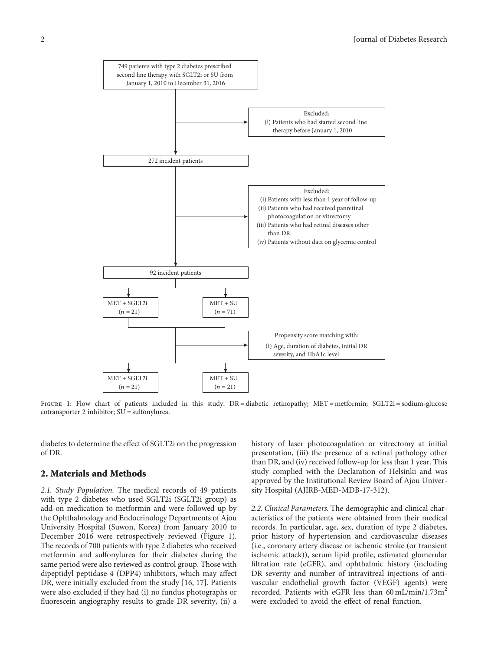

FIGURE 1: Flow chart of patients included in this study. DR = diabetic retinopathy; MET = metformin; SGLT2i = sodium-glucose cotransporter 2 inhibitor; SU = sulfonylurea.

diabetes to determine the effect of SGLT2i on the progression of DR.

## 2. Materials and Methods

2.1. Study Population. The medical records of 49 patients with type 2 diabetes who used SGLT2i (SGLT2i group) as add-on medication to metformin and were followed up by the Ophthalmology and Endocrinology Departments of Ajou University Hospital (Suwon, Korea) from January 2010 to December 2016 were retrospectively reviewed (Figure 1). The records of 700 patients with type 2 diabetes who received metformin and sulfonylurea for their diabetes during the same period were also reviewed as control group. Those with dipeptidyl peptidase-4 (DPP4) inhibitors, which may affect DR, were initially excluded from the study [[16](#page-5-0), [17\]](#page-5-0). Patients were also excluded if they had (i) no fundus photographs or fluorescein angiography results to grade DR severity, (ii) a

history of laser photocoagulation or vitrectomy at initial presentation, (iii) the presence of a retinal pathology other than DR, and (iv) received follow-up for less than 1 year. This study complied with the Declaration of Helsinki and was approved by the Institutional Review Board of Ajou University Hospital (AJIRB-MED-MDB-17-312).

2.2. Clinical Parameters. The demographic and clinical characteristics of the patients were obtained from their medical records. In particular, age, sex, duration of type 2 diabetes, prior history of hypertension and cardiovascular diseases (i.e., coronary artery disease or ischemic stroke (or transient ischemic attack)), serum lipid profile, estimated glomerular filtration rate (eGFR), and ophthalmic history (including DR severity and number of intravitreal injections of antivascular endothelial growth factor (VEGF) agents) were recorded. Patients with eGFR less than  $60 \text{ mL/min}/1.73 \text{m}^2$ were excluded to avoid the effect of renal function.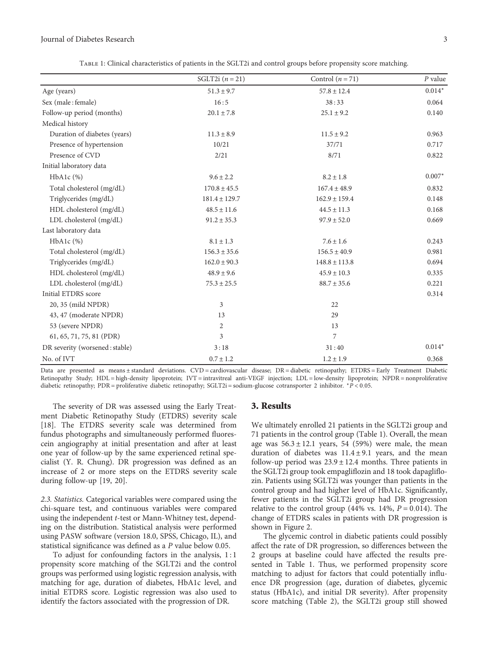<span id="page-2-0"></span>

|                                | SGLT2i $(n=21)$   | Control $(n = 71)$ | $P$ value |
|--------------------------------|-------------------|--------------------|-----------|
| Age (years)                    | $51.3 \pm 9.7$    | $57.8 \pm 12.4$    | $0.014*$  |
| Sex (male: female)             | 16:5              | 38:33              | 0.064     |
| Follow-up period (months)      | $20.1 \pm 7.8$    | $25.1 \pm 9.2$     | 0.140     |
| Medical history                |                   |                    |           |
| Duration of diabetes (years)   | $11.3 \pm 8.9$    | $11.5 \pm 9.2$     | 0.963     |
| Presence of hypertension       | 10/21             | 37/71              | 0.717     |
| Presence of CVD                | 2/21              | 8/71               | 0.822     |
| Initial laboratory data        |                   |                    |           |
| $HbA1c$ $(\%)$                 | $9.6 \pm 2.2$     | $8.2 \pm 1.8$      | $0.007*$  |
| Total cholesterol (mg/dL)      | $170.8 \pm 45.5$  | $167.4 \pm 48.9$   | 0.832     |
| Triglycerides (mg/dL)          | $181.4 \pm 129.7$ | $162.9 \pm 159.4$  | 0.148     |
| HDL cholesterol (mg/dL)        | $48.5 \pm 11.6$   | $44.5 \pm 11.3$    | 0.168     |
| LDL cholesterol (mg/dL)        | $91.2 \pm 35.3$   | $97.9 \pm 52.0$    | 0.669     |
| Last laboratory data           |                   |                    |           |
| $HbA1c$ $%$                    | $8.1 \pm 1.3$     | $7.6 \pm 1.6$      | 0.243     |
| Total cholesterol (mg/dL)      | $156.3 \pm 35.6$  | $156.5 \pm 40.9$   | 0.981     |
| Triglycerides (mg/dL)          | $162.0 \pm 90.3$  | $148.8 \pm 113.8$  | 0.694     |
| HDL cholesterol (mg/dL)        | $48.9 \pm 9.6$    | $45.9 \pm 10.3$    | 0.335     |
| LDL cholesterol (mg/dL)        | $75.3 \pm 25.5$   | $88.7 \pm 35.6$    | 0.221     |
| Initial ETDRS score            |                   |                    | 0.314     |
| 20, 35 (mild NPDR)             | 3                 | 22                 |           |
| 43, 47 (moderate NPDR)         | 13                | 29                 |           |
| 53 (severe NPDR)               | $\overline{2}$    | 13                 |           |
| 61, 65, 71, 75, 81 (PDR)       | 3                 | 7                  |           |
| DR severity (worsened: stable) | 3:18              | 31:40              | $0.014*$  |
| No. of IVT                     | $0.7 \pm 1.2$     | $1.2 \pm 1.9$      | 0.368     |

Table 1: Clinical characteristics of patients in the SGLT2i and control groups before propensity score matching.

Data are presented as means ± standard deviations. CVD = cardiovascular disease; DR = diabetic retinopathy; ETDRS = Early Treatment Diabetic Retinopathy Study; HDL = high-density lipoprotein; IVT = intravitreal anti-VEGF injection; LDL = low-density lipoprotein; NPDR = nonproliferative diabetic retinopathy; PDR = proliferative diabetic retinopathy; SGLT2i = sodium-glucose cotransporter 2 inhibitor. <sup>∗</sup>*P* < 0 05.

The severity of DR was assessed using the Early Treatment Diabetic Retinopathy Study (ETDRS) severity scale [\[18](#page-6-0)]. The ETDRS severity scale was determined from fundus photographs and simultaneously performed fluorescein angiography at initial presentation and after at least one year of follow-up by the same experienced retinal specialist (Y. R. Chung). DR progression was defined as an increase of 2 or more steps on the ETDRS severity scale during follow-up [[19](#page-6-0), [20\]](#page-6-0).

2.3. Statistics. Categorical variables were compared using the chi-square test, and continuous variables were compared using the independent t-test or Mann-Whitney test, depending on the distribution. Statistical analysis were performed using PASW software (version 18.0, SPSS, Chicago, IL), and statistical significance was defined as a *P* value below 0.05.

To adjust for confounding factors in the analysis, 1 : 1 propensity score matching of the SGLT2i and the control groups was performed using logistic regression analysis, with matching for age, duration of diabetes, HbA1c level, and initial ETDRS score. Logistic regression was also used to identify the factors associated with the progression of DR.

#### 3. Results

We ultimately enrolled 21 patients in the SGLT2i group and 71 patients in the control group (Table 1). Overall, the mean age was  $56.3 \pm 12.1$  years, 54 (59%) were male, the mean duration of diabetes was  $11.4 \pm 9.1$  years, and the mean follow-up period was  $23.9 \pm 12.4$  months. Three patients in the SGLT2i group took empagliflozin and 18 took dapagliflozin. Patients using SGLT2i was younger than patients in the control group and had higher level of HbA1c. Significantly, fewer patients in the SGLT2i group had DR progression relative to the control group (44% vs.  $14\%$ ,  $P = 0.014$ ). The change of ETDRS scales in patients with DR progression is shown in Figure [2.](#page-3-0)

The glycemic control in diabetic patients could possibly affect the rate of DR progression, so differences between the 2 groups at baseline could have affected the results presented in Table 1. Thus, we performed propensity score matching to adjust for factors that could potentially influence DR progression (age, duration of diabetes, glycemic status (HbA1c), and initial DR severity). After propensity score matching (Table [2\)](#page-4-0), the SGLT2i group still showed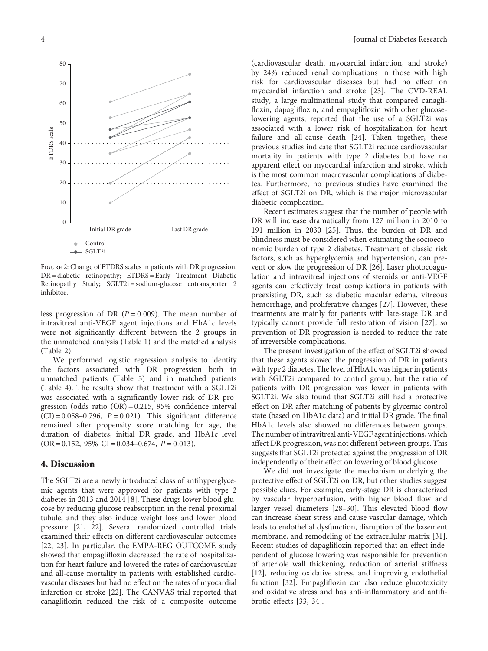<span id="page-3-0"></span>

Figure 2: Change of ETDRS scales in patients with DR progression. DR = diabetic retinopathy; ETDRS = Early Treatment Diabetic Retinopathy Study; SGLT2i = sodium-glucose cotransporter 2 inhibitor.

less progression of DR  $(P = 0.009)$ . The mean number of intravitreal anti-VEGF agent injections and HbA1c levels were not significantly different between the 2 groups in the unmatched analysis (Table [1\)](#page-2-0) and the matched analysis (Table [2\)](#page-4-0).

We performed logistic regression analysis to identify the factors associated with DR progression both in unmatched patients (Table [3\)](#page-4-0) and in matched patients (Table [4](#page-5-0)). The results show that treatment with a SGLT2i was associated with a significantly lower risk of DR progression (odds ratio (OR) = 0.215, 95% confidence interval  $(CI) = 0.058 - 0.796$ ,  $P = 0.021$ ). This significant difference remained after propensity score matching for age, the duration of diabetes, initial DR grade, and HbA1c level  $(OR = 0.152, 95\% \ CI = 0.034 - 0.674, P = 0.013).$ 

#### 4. Discussion

The SGLT2i are a newly introduced class of antihyperglycemic agents that were approved for patients with type 2 diabetes in 2013 and 2014 [[8](#page-5-0)]. These drugs lower blood glucose by reducing glucose reabsorption in the renal proximal tubule, and they also induce weight loss and lower blood pressure [[21](#page-6-0), [22\]](#page-6-0). Several randomized controlled trials examined their effects on different cardiovascular outcomes [\[22](#page-6-0), [23\]](#page-6-0). In particular, the EMPA-REG OUTCOME study showed that empagliflozin decreased the rate of hospitalization for heart failure and lowered the rates of cardiovascular and all-cause mortality in patients with established cardiovascular diseases but had no effect on the rates of myocardial infarction or stroke [[22](#page-6-0)]. The CANVAS trial reported that canagliflozin reduced the risk of a composite outcome

(cardiovascular death, myocardial infarction, and stroke) by 24% reduced renal complications in those with high risk for cardiovascular diseases but had no effect on myocardial infarction and stroke [\[23\]](#page-6-0). The CVD-REAL study, a large multinational study that compared canagliflozin, dapagliflozin, and empagliflozin with other glucoselowering agents, reported that the use of a SGLT2i was associated with a lower risk of hospitalization for heart failure and all-cause death [\[24\]](#page-6-0). Taken together, these previous studies indicate that SGLT2i reduce cardiovascular mortality in patients with type 2 diabetes but have no apparent effect on myocardial infarction and stroke, which is the most common macrovascular complications of diabetes. Furthermore, no previous studies have examined the effect of SGLT2i on DR, which is the major microvascular diabetic complication.

Recent estimates suggest that the number of people with DR will increase dramatically from 127 million in 2010 to 191 million in 2030 [[25](#page-6-0)]. Thus, the burden of DR and blindness must be considered when estimating the socioeconomic burden of type 2 diabetes. Treatment of classic risk factors, such as hyperglycemia and hypertension, can prevent or slow the progression of DR [\[26\]](#page-6-0). Laser photocoagulation and intravitreal injections of steroids or anti-VEGF agents can effectively treat complications in patients with preexisting DR, such as diabetic macular edema, vitreous hemorrhage, and proliferative changes [\[27\]](#page-6-0). However, these treatments are mainly for patients with late-stage DR and typically cannot provide full restoration of vision [[27](#page-6-0)], so prevention of DR progression is needed to reduce the rate of irreversible complications.

The present investigation of the effect of SGLT2i showed that these agents slowed the progression of DR in patients with type 2 diabetes. The level of HbA1c was higher in patients with SGLT2i compared to control group, but the ratio of patients with DR progression was lower in patients with SGLT2i. We also found that SGLT2i still had a protective effect on DR after matching of patients by glycemic control state (based on HbA1c data) and initial DR grade. The final HbA1c levels also showed no differences between groups. The number of intravitreal anti-VEGF agent injections, which affect DR progression, was not different between groups. This suggests that SGLT2i protected against the progression of DR independently of their effect on lowering of blood glucose.

We did not investigate the mechanism underlying the protective effect of SGLT2i on DR, but other studies suggest possible clues. For example, early-stage DR is characterized by vascular hyperperfusion, with higher blood flow and larger vessel diameters [\[28](#page-6-0)–[30\]](#page-6-0). This elevated blood flow can increase shear stress and cause vascular damage, which leads to endothelial dysfunction, disruption of the basement membrane, and remodeling of the extracellular matrix [[31](#page-6-0)]. Recent studies of dapagliflozin reported that an effect independent of glucose lowering was responsible for prevention of arteriole wall thickening, reduction of arterial stiffness [\[12](#page-5-0)], reducing oxidative stress, and improving endothelial function [\[32](#page-6-0)]. Empagliflozin can also reduce glucotoxicity and oxidative stress and has anti-inflammatory and antifibrotic effects [[33](#page-6-0), [34](#page-6-0)].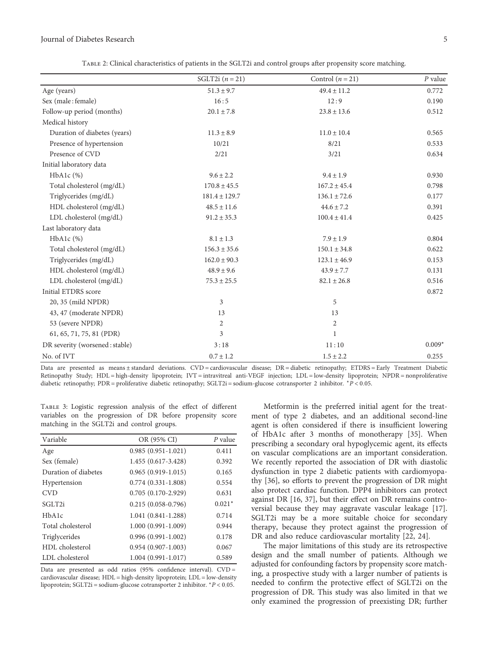<span id="page-4-0"></span>

| TABLE 2: Clinical characteristics of patients in the SGLT2i and control groups after propensity score matching. |                   |                  |         |
|-----------------------------------------------------------------------------------------------------------------|-------------------|------------------|---------|
|                                                                                                                 | SGLT2i $(n = 21)$ | Control $(n=21)$ | P value |

|                                | $5GL121 (n = 21)$ | Control $(n = 21)$ | r value  |
|--------------------------------|-------------------|--------------------|----------|
| Age (years)                    | $51.3 \pm 9.7$    | $49.4 \pm 11.2$    | 0.772    |
| Sex (male: female)             | 16:5              | 12:9               | 0.190    |
| Follow-up period (months)      | $20.1 \pm 7.8$    | $23.8 \pm 13.6$    | 0.512    |
| Medical history                |                   |                    |          |
| Duration of diabetes (years)   | $11.3 \pm 8.9$    | $11.0 \pm 10.4$    | 0.565    |
| Presence of hypertension       | 10/21             | 8/21               | 0.533    |
| Presence of CVD                | 2/21              | 3/21               | 0.634    |
| Initial laboratory data        |                   |                    |          |
| $HbA1c$ $(\%)$                 | $9.6 \pm 2.2$     | $9.4 \pm 1.9$      | 0.930    |
| Total cholesterol (mg/dL)      | $170.8 \pm 45.5$  | $167.2 \pm 45.4$   | 0.798    |
| Triglycerides (mg/dL)          | $181.4 \pm 129.7$ | $136.1 \pm 72.6$   | 0.177    |
| HDL cholesterol (mg/dL)        | $48.5 \pm 11.6$   | $44.6 \pm 7.2$     | 0.391    |
| LDL cholesterol (mg/dL)        | $91.2 \pm 35.3$   | $100.4 \pm 41.4$   | 0.425    |
| Last laboratory data           |                   |                    |          |
| $HbA1c$ $%$                    | $8.1\pm1.3$       | $7.9 \pm 1.9$      | 0.804    |
| Total cholesterol (mg/dL)      | $156.3 \pm 35.6$  | $150.1 \pm 34.8$   | 0.622    |
| Triglycerides (mg/dL)          | $162.0 \pm 90.3$  | $123.1 \pm 46.9$   | 0.153    |
| HDL cholesterol (mg/dL)        | $48.9 \pm 9.6$    | $43.9 \pm 7.7$     | 0.131    |
| LDL cholesterol (mg/dL)        | $75.3 \pm 25.5$   | $82.1\pm26.8$      | 0.516    |
| Initial ETDRS score            |                   |                    | 0.872    |
| 20, 35 (mild NPDR)             | 3                 | 5                  |          |
| 43, 47 (moderate NPDR)         | 13                | 13                 |          |
| 53 (severe NPDR)               | $\overline{2}$    | $\overline{c}$     |          |
| 61, 65, 71, 75, 81 (PDR)       | 3                 | $\mathbf{1}$       |          |
| DR severity (worsened: stable) | 3:18              | 11:10              | $0.009*$ |
| No. of IVT                     | $0.7 \pm 1.2$     | $1.5 \pm 2.2$      | 0.255    |

Data are presented as means ± standard deviations. CVD = cardiovascular disease; DR = diabetic retinopathy; ETDRS = Early Treatment Diabetic Retinopathy Study; HDL = high-density lipoprotein; IVT = intravitreal anti-VEGF injection; LDL = low-density lipoprotein; NPDR = nonproliferative diabetic retinopathy; PDR = proliferative diabetic retinopathy; SGLT2i = sodium-glucose cotransporter 2 inhibitor. <sup>∗</sup>*P* < 0 05.

Table 3: Logistic regression analysis of the effect of different variables on the progression of DR before propensity score matching in the SGLT2i and control groups.

| Variable             | OR (95% CI)          | $P$ value |
|----------------------|----------------------|-----------|
| Age                  | $0.985(0.951-1.021)$ | 0.411     |
| Sex (female)         | 1.455 (0.617-3.428)  | 0.392     |
| Duration of diabetes | $0.965(0.919-1.015)$ | 0.165     |
| Hypertension         | $0.774(0.331-1.808)$ | 0.554     |
| <b>CVD</b>           | $0.705(0.170-2.929)$ | 0.631     |
| SGLT2i               | $0.215(0.058-0.796)$ | $0.021*$  |
| HbA1c                | $1.041(0.841-1.288)$ | 0.714     |
| Total cholesterol    | $1.000(0.991-1.009)$ | 0.944     |
| Triglycerides        | $0.996(0.991-1.002)$ | 0.178     |
| HDL cholesterol      | $0.954(0.907-1.003)$ | 0.067     |
| LDL cholesterol      | $1.004(0.991-1.017)$ | 0.589     |

Data are presented as odd ratios (95% confidence interval). CVD = cardiovascular disease; HDL = high-density lipoprotein; LDL = low-density lipoprotein; SGLT2i = sodium-glucose cotransporter 2 inhibitor. <sup>∗</sup>*P* < 0 05.

Metformin is the preferred initial agent for the treatment of type 2 diabetes, and an additional second-line agent is often considered if there is insufficient lowering of HbA1c after 3 months of monotherapy [\[35\]](#page-6-0). When prescribing a secondary oral hypoglycemic agent, its effects on vascular complications are an important consideration. We recently reported the association of DR with diastolic dysfunction in type 2 diabetic patients with cardiomyopathy [[36](#page-6-0)], so efforts to prevent the progression of DR might also protect cardiac function. DPP4 inhibitors can protect against DR [[16,](#page-5-0) [37](#page-6-0)], but their effect on DR remains controversial because they may aggravate vascular leakage [[17](#page-5-0)]. SGLT2i may be a more suitable choice for secondary therapy, because they protect against the progression of DR and also reduce cardiovascular mortality [[22](#page-6-0), [24](#page-6-0)].

The major limitations of this study are its retrospective design and the small number of patients. Although we adjusted for confounding factors by propensity score matching, a prospective study with a larger number of patients is needed to confirm the protective effect of SGLT2i on the progression of DR. This study was also limited in that we only examined the progression of preexisting DR; further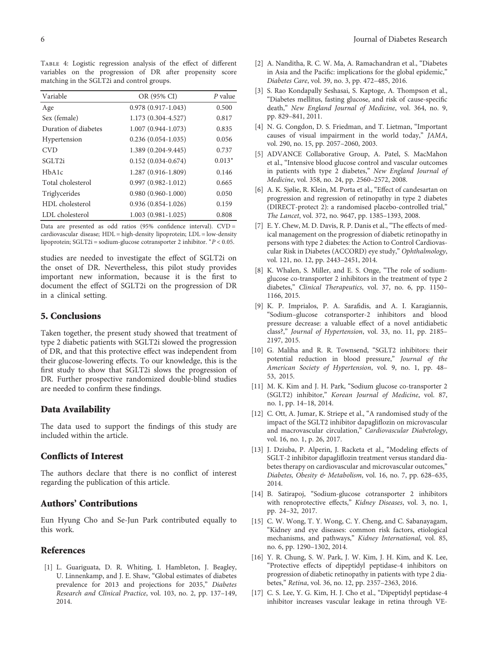<span id="page-5-0"></span>Table 4: Logistic regression analysis of the effect of different variables on the progression of DR after propensity score matching in the SGLT2i and control groups.

| Variable             | OR (95% CI)            | P value  |
|----------------------|------------------------|----------|
| Age                  | $0.978(0.917-1.043)$   | 0.500    |
| Sex (female)         | 1.173 (0.304-4.527)    | 0.817    |
| Duration of diabetes | $1.007(0.944-1.073)$   | 0.835    |
| Hypertension         | $0.236(0.054-1.035)$   | 0.056    |
| <b>CVD</b>           | 1.389 (0.204-9.445)    | 0.737    |
| SGLT <sub>2i</sub>   | $0.152(0.034 - 0.674)$ | $0.013*$ |
| HbA1c                | 1.287 (0.916-1.809)    | 0.146    |
| Total cholesterol    | $0.997(0.982 - 1.012)$ | 0.665    |
| Triglycerides        | $0.980(0.960-1.000)$   | 0.050    |
| HDL cholesterol      | $0.936(0.854-1.026)$   | 0.159    |
| LDL cholesterol      | $1.003(0.981-1.025)$   | 0.808    |

Data are presented as odd ratios (95% confidence interval). CVD = cardiovascular disease; HDL = high-density lipoprotein; LDL = low-density lipoprotein; SGLT2i = sodium-glucose cotransporter 2 inhibitor. <sup>∗</sup>*P* < 0 05.

studies are needed to investigate the effect of SGLT2i on the onset of DR. Nevertheless, this pilot study provides important new information, because it is the first to document the effect of SGLT2i on the progression of DR in a clinical setting.

### 5. Conclusions

Taken together, the present study showed that treatment of type 2 diabetic patients with SGLT2i slowed the progression of DR, and that this protective effect was independent from their glucose-lowering effects. To our knowledge, this is the first study to show that SGLT2i slows the progression of DR. Further prospective randomized double-blind studies are needed to confirm these findings.

#### Data Availability

The data used to support the findings of this study are included within the article.

### Conflicts of Interest

The authors declare that there is no conflict of interest regarding the publication of this article.

#### Authors' Contributions

Eun Hyung Cho and Se-Jun Park contributed equally to this work.

#### References

[1] L. Guariguata, D. R. Whiting, I. Hambleton, J. Beagley, U. Linnenkamp, and J. E. Shaw, "Global estimates of diabetes prevalence for 2013 and projections for 2035," Diabetes Research and Clinical Practice, vol. 103, no. 2, pp. 137–149, 2014.

- [2] A. Nanditha, R. C. W. Ma, A. Ramachandran et al., "Diabetes in Asia and the Pacific: implications for the global epidemic," Diabetes Care, vol. 39, no. 3, pp. 472–485, 2016.
- [3] S. Rao Kondapally Seshasai, S. Kaptoge, A. Thompson et al., "Diabetes mellitus, fasting glucose, and risk of cause-specific death," New England Journal of Medicine, vol. 364, no. 9, pp. 829–841, 2011.
- [4] N. G. Congdon, D. S. Friedman, and T. Lietman, "Important causes of visual impairment in the world today," JAMA, vol. 290, no. 15, pp. 2057–2060, 2003.
- [5] ADVANCE Collaborative Group, A. Patel, S. MacMahon et al., "Intensive blood glucose control and vascular outcomes in patients with type 2 diabetes," New England Journal of Medicine, vol. 358, no. 24, pp. 2560–2572, 2008.
- [6] A. K. Sjølie, R. Klein, M. Porta et al., "Effect of candesartan on progression and regression of retinopathy in type 2 diabetes (DIRECT-protect 2): a randomised placebo-controlled trial," The Lancet, vol. 372, no. 9647, pp. 1385–1393, 2008.
- [7] E. Y. Chew, M. D. Davis, R. P. Danis et al., "The effects of medical management on the progression of diabetic retinopathy in persons with type 2 diabetes: the Action to Control Cardiovascular Risk in Diabetes (ACCORD) eye study," Ophthalmology, vol. 121, no. 12, pp. 2443–2451, 2014.
- [8] K. Whalen, S. Miller, and E. S. Onge, "The role of sodiumglucose co-transporter 2 inhibitors in the treatment of type 2 diabetes," Clinical Therapeutics, vol. 37, no. 6, pp. 1150– 1166, 2015.
- [9] K. P. Imprialos, P. A. Sarafidis, and A. I. Karagiannis, "Sodium–glucose cotransporter-2 inhibitors and blood pressure decrease: a valuable effect of a novel antidiabetic class?," Journal of Hypertension, vol. 33, no. 11, pp. 2185– 2197, 2015.
- [10] G. Maliha and R. R. Townsend, "SGLT2 inhibitors: their potential reduction in blood pressure," Journal of the American Society of Hypertension, vol. 9, no. 1, pp. 48– 53, 2015.
- [11] M. K. Kim and J. H. Park, "Sodium glucose co-transporter 2 (SGLT2) inhibitor," Korean Journal of Medicine, vol. 87, no. 1, pp. 14–18, 2014.
- [12] C. Ott, A. Jumar, K. Striepe et al., "A randomised study of the impact of the SGLT2 inhibitor dapagliflozin on microvascular and macrovascular circulation," Cardiovascular Diabetology, vol. 16, no. 1, p. 26, 2017.
- [13] J. Dziuba, P. Alperin, J. Racketa et al., "Modeling effects of SGLT-2 inhibitor dapagliflozin treatment versus standard diabetes therapy on cardiovascular and microvascular outcomes," Diabetes, Obesity & Metabolism, vol. 16, no. 7, pp. 628–635, 2014.
- [14] B. Satirapoj, "Sodium-glucose cotransporter 2 inhibitors with renoprotective effects," Kidney Diseases, vol. 3, no. 1, pp. 24–32, 2017.
- [15] C. W. Wong, T. Y. Wong, C. Y. Cheng, and C. Sabanayagam, "Kidney and eye diseases: common risk factors, etiological mechanisms, and pathways," Kidney International, vol. 85, no. 6, pp. 1290–1302, 2014.
- [16] Y. R. Chung, S. W. Park, J. W. Kim, J. H. Kim, and K. Lee, "Protective effects of dipeptidyl peptidase-4 inhibitors on progression of diabetic retinopathy in patients with type 2 diabetes," Retina, vol. 36, no. 12, pp. 2357–2363, 2016.
- [17] C. S. Lee, Y. G. Kim, H. J. Cho et al., "Dipeptidyl peptidase-4 inhibitor increases vascular leakage in retina through VE-